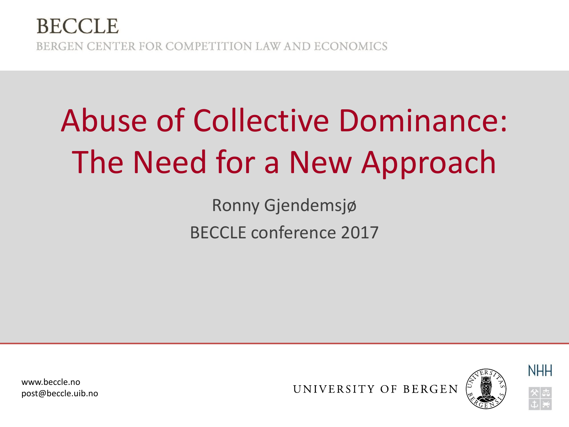#### **BECCLE** BERGEN CENTER FOR COMPETITION LAW AND ECONOMICS

# Abuse of Collective Dominance: The Need for a New Approach

Ronny Gjendemsjø BECCLE conference 2017

www.beccle.no post@beccle.uib.no

UNIVERSITY OF BERGEN





**NHH**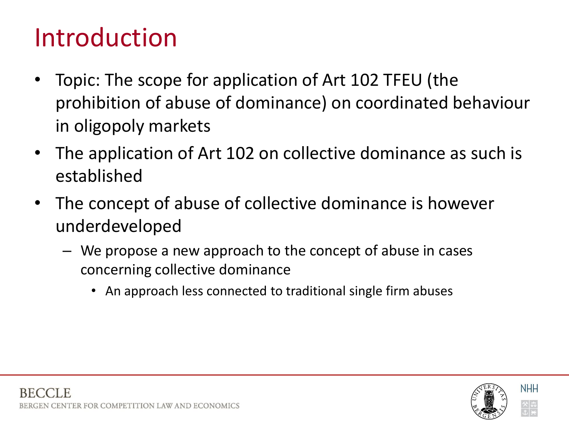#### Introduction

- Topic: The scope for application of Art 102 TFEU (the prohibition of abuse of dominance) on coordinated behaviour in oligopoly markets
- The application of Art 102 on collective dominance as such is established
- The concept of abuse of collective dominance is however underdeveloped
	- We propose a new approach to the concept of abuse in cases concerning collective dominance
		- An approach less connected to traditional single firm abuses

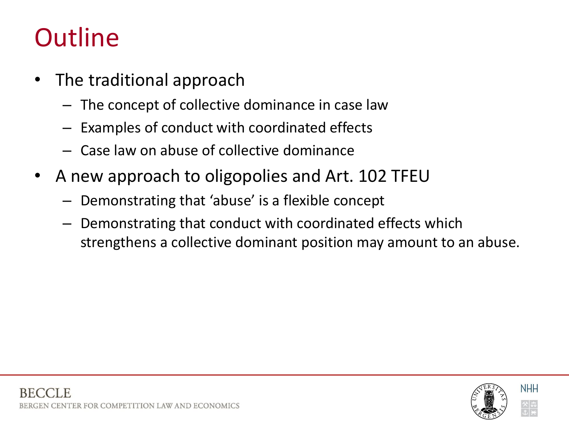#### **Outline**

- The traditional approach
	- The concept of collective dominance in case law
	- Examples of conduct with coordinated effects
	- Case law on abuse of collective dominance
- A new approach to oligopolies and Art. 102 TFEU
	- Demonstrating that 'abuse' is a flexible concept
	- Demonstrating that conduct with coordinated effects which strengthens a collective dominant position may amount to an abuse.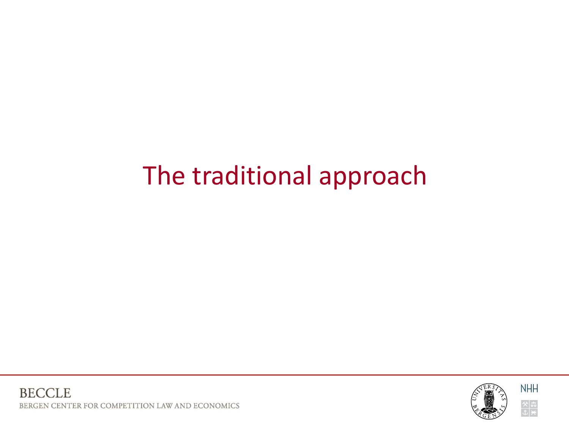#### The traditional approach

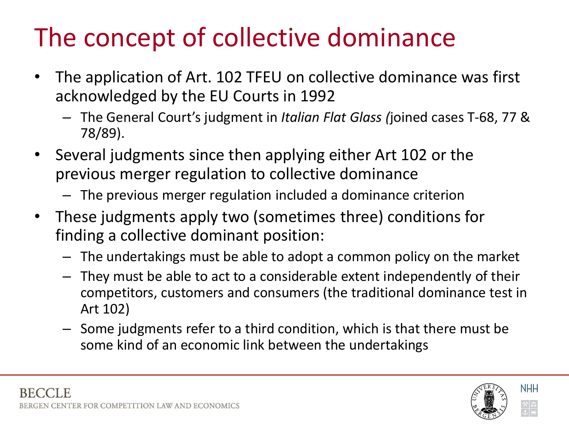### The concept of collective dominance

- The application of Art. 102 TFEU on collective dominance was first acknowledged by the EU Courts in 1992
	- The General Court's judgment in *Italian Flat Glass (*joined cases T-68, 77 & 78/89).
- Several judgments since then applying either Art 102 or the previous merger regulation to collective dominance
	- The previous merger regulation included a dominance criterion
- These judgments apply two (sometimes three) conditions for finding a collective dominant position:
	- The undertakings must be able to adopt a common policy on the market
	- They must be able to act to a considerable extent independently of their competitors, customers and consumers (the traditional dominance test in Art 102)
	- Some judgments refer to a third condition, which is that there must be some kind of an economic link between the undertakings

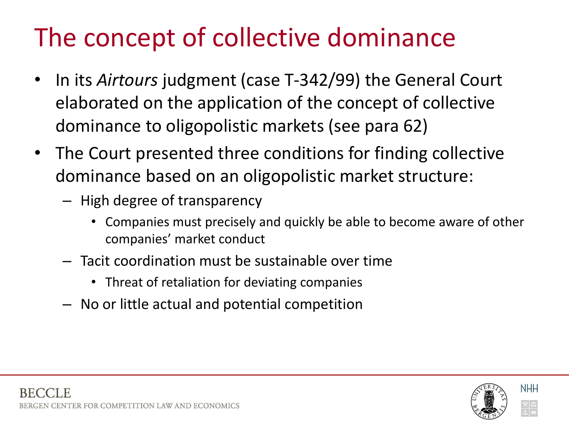### The concept of collective dominance

- In its *Airtours* judgment (case T-342/99) the General Court elaborated on the application of the concept of collective dominance to oligopolistic markets (see para 62)
- The Court presented three conditions for finding collective dominance based on an oligopolistic market structure:
	- High degree of transparency
		- Companies must precisely and quickly be able to become aware of other companies' market conduct
	- Tacit coordination must be sustainable over time
		- Threat of retaliation for deviating companies
	- No or little actual and potential competition

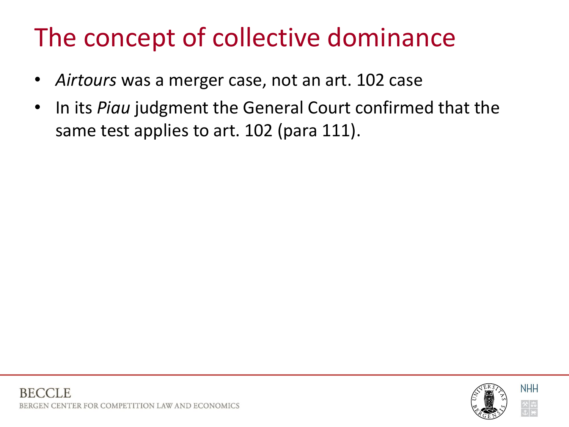### The concept of collective dominance

- *Airtours* was a merger case, not an art. 102 case
- In its *Piau* judgment the General Court confirmed that the same test applies to art. 102 (para 111).

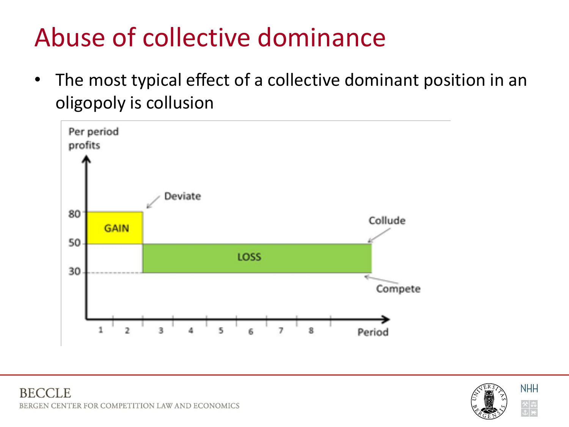### Abuse of collective dominance

• The most typical effect of a collective dominant position in an oligopoly is collusion



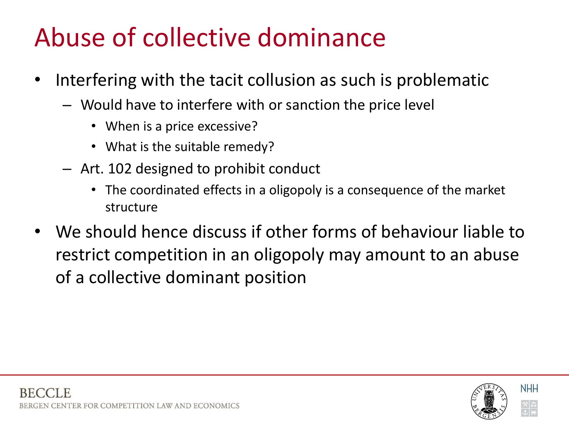### Abuse of collective dominance

- Interfering with the tacit collusion as such is problematic
	- Would have to interfere with or sanction the price level
		- When is a price excessive?
		- What is the suitable remedy?
	- Art. 102 designed to prohibit conduct
		- The coordinated effects in a oligopoly is a consequence of the market structure
- We should hence discuss if other forms of behaviour liable to restrict competition in an oligopoly may amount to an abuse of a collective dominant position

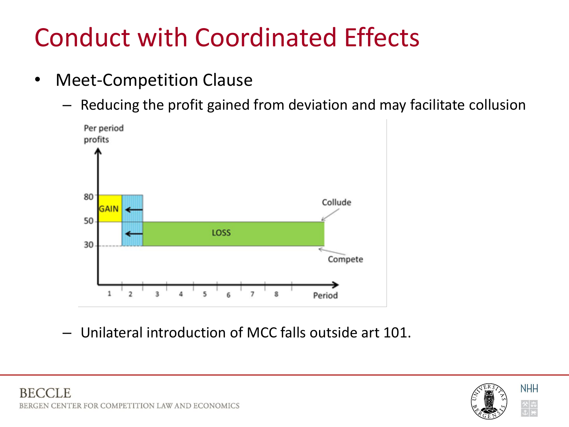### Conduct with Coordinated Effects

- Meet-Competition Clause
	- Reducing the profit gained from deviation and may facilitate collusion



– Unilateral introduction of MCC falls outside art 101.



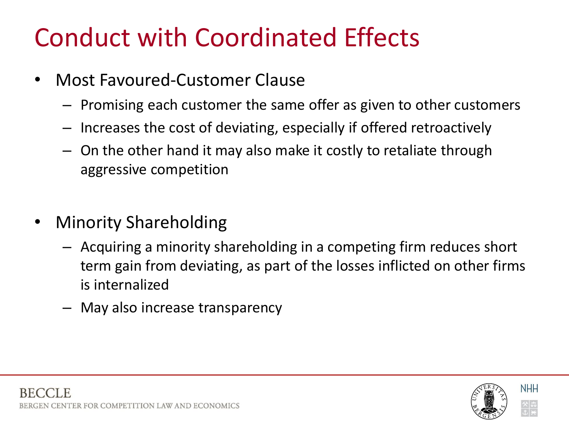### Conduct with Coordinated Effects

- Most Favoured-Customer Clause
	- Promising each customer the same offer as given to other customers
	- Increases the cost of deviating, especially if offered retroactively
	- On the other hand it may also make it costly to retaliate through aggressive competition
- Minority Shareholding
	- Acquiring a minority shareholding in a competing firm reduces short term gain from deviating, as part of the losses inflicted on other firms is internalized
	- May also increase transparency

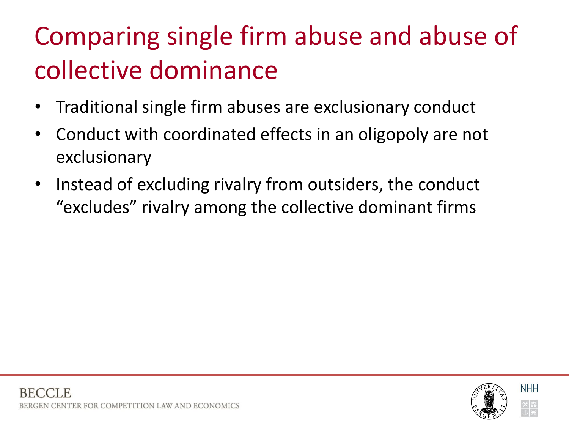### Comparing single firm abuse and abuse of collective dominance

- Traditional single firm abuses are exclusionary conduct
- Conduct with coordinated effects in an oligopoly are not exclusionary
- Instead of excluding rivalry from outsiders, the conduct "excludes" rivalry among the collective dominant firms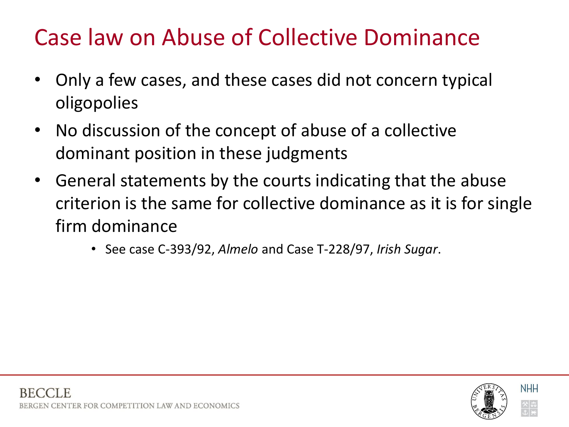#### Case law on Abuse of Collective Dominance

- Only a few cases, and these cases did not concern typical oligopolies
- No discussion of the concept of abuse of a collective dominant position in these judgments
- General statements by the courts indicating that the abuse criterion is the same for collective dominance as it is for single firm dominance
	- See case C-393/92, *Almelo* and Case T-228/97, *Irish Sugar*.

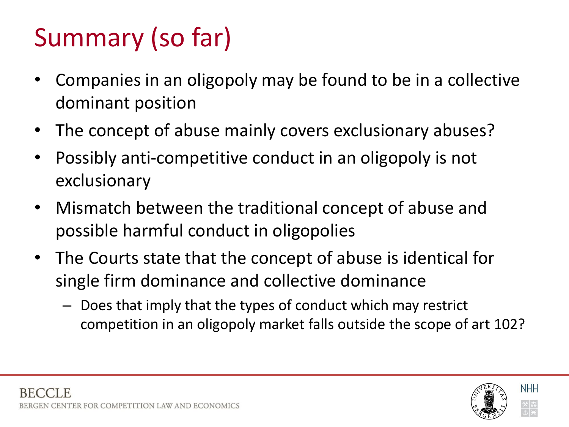### Summary (so far)

- Companies in an oligopoly may be found to be in a collective dominant position
- The concept of abuse mainly covers exclusionary abuses?
- Possibly anti-competitive conduct in an oligopoly is not exclusionary
- Mismatch between the traditional concept of abuse and possible harmful conduct in oligopolies
- The Courts state that the concept of abuse is identical for single firm dominance and collective dominance
	- Does that imply that the types of conduct which may restrict competition in an oligopoly market falls outside the scope of art 102?

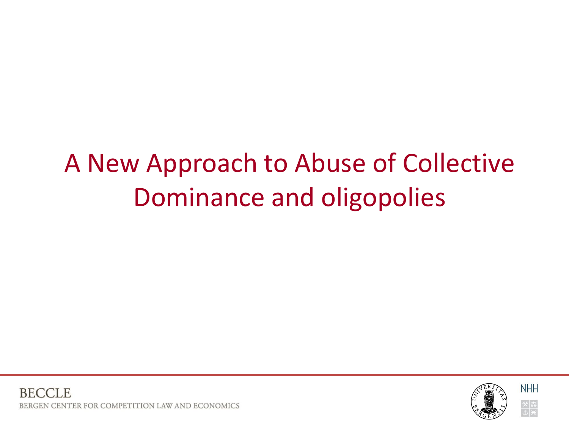### A New Approach to Abuse of Collective Dominance and oligopolies

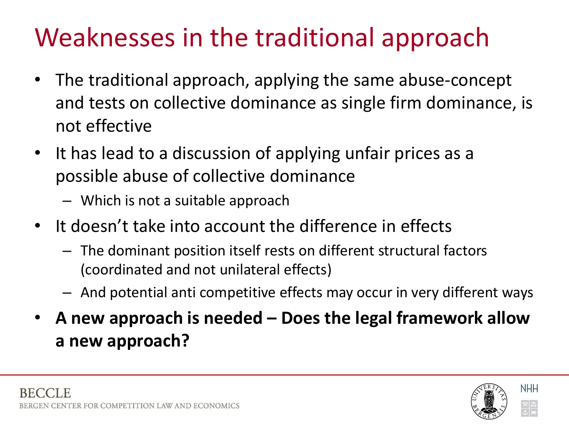### Weaknesses in the traditional approach

- The traditional approach, applying the same abuse-concept and tests on collective dominance as single firm dominance, is not effective
- It has lead to a discussion of applying unfair prices as a possible abuse of collective dominance
	- Which is not a suitable approach
- It doesn't take into account the difference in effects
	- The dominant position itself rests on different structural factors (coordinated and not unilateral effects)
	- And potential anti competitive effects may occur in very different ways
- **A new approach is needed – Does the legal framework allow a new approach?**

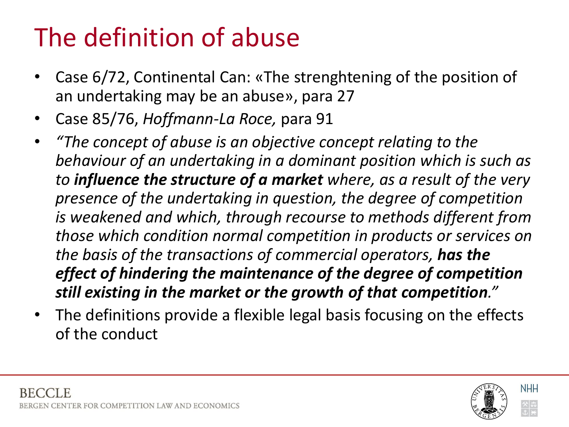### The definition of abuse

- Case 6/72, Continental Can: «The strenghtening of the position of an undertaking may be an abuse», para 27
- Case 85/76, *Hoffmann-La Roce,* para 91
- *"The concept of abuse is an objective concept relating to the behaviour of an undertaking in a dominant position which is such as to influence the structure of a market where, as a result of the very presence of the undertaking in question, the degree of competition is weakened and which, through recourse to methods different from those which condition normal competition in products or services on the basis of the transactions of commercial operators, has the effect of hindering the maintenance of the degree of competition still existing in the market or the growth of that competition."*
- The definitions provide a flexible legal basis focusing on the effects of the conduct

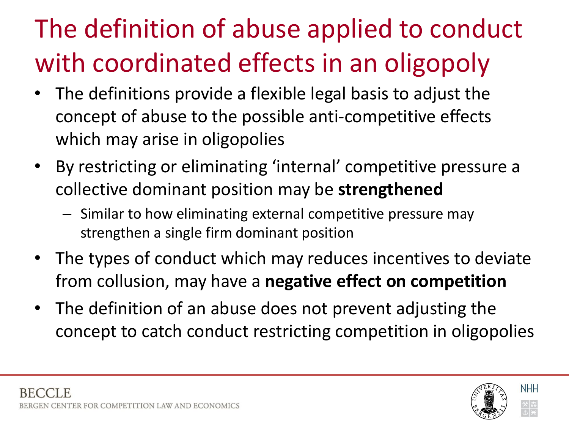## The definition of abuse applied to conduct with coordinated effects in an oligopoly

- The definitions provide a flexible legal basis to adjust the concept of abuse to the possible anti-competitive effects which may arise in oligopolies
- By restricting or eliminating 'internal' competitive pressure a collective dominant position may be **strengthened**
	- Similar to how eliminating external competitive pressure may strengthen a single firm dominant position
- The types of conduct which may reduces incentives to deviate from collusion, may have a **negative effect on competition**
- The definition of an abuse does not prevent adjusting the concept to catch conduct restricting competition in oligopolies

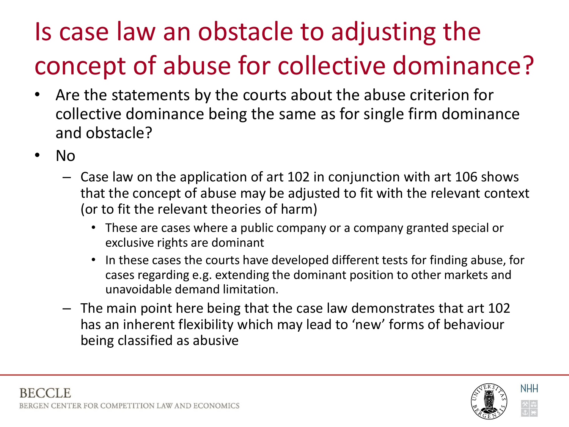### Is case law an obstacle to adjusting the concept of abuse for collective dominance?

- Are the statements by the courts about the abuse criterion for collective dominance being the same as for single firm dominance and obstacle?
- No
	- Case law on the application of art 102 in conjunction with art 106 shows that the concept of abuse may be adjusted to fit with the relevant context (or to fit the relevant theories of harm)
		- These are cases where a public company or a company granted special or exclusive rights are dominant
		- In these cases the courts have developed different tests for finding abuse, for cases regarding e.g. extending the dominant position to other markets and unavoidable demand limitation.
	- The main point here being that the case law demonstrates that art 102 has an inherent flexibility which may lead to 'new' forms of behaviour being classified as abusive

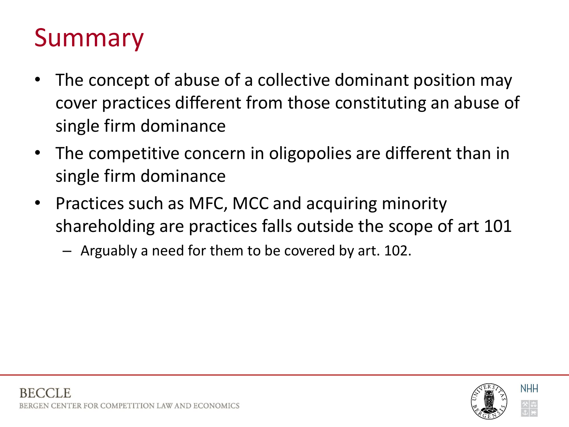#### Summary

- The concept of abuse of a collective dominant position may cover practices different from those constituting an abuse of single firm dominance
- The competitive concern in oligopolies are different than in single firm dominance
- Practices such as MFC, MCC and acquiring minority shareholding are practices falls outside the scope of art 101
	- Arguably a need for them to be covered by art. 102.